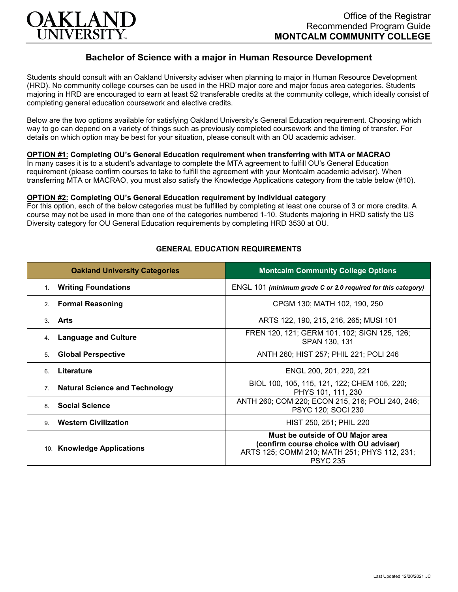

# **Bachelor of Science with a major in Human Resource Development**

Students should consult with an Oakland University adviser when planning to major in Human Resource Development (HRD). No community college courses can be used in the HRD major core and major focus area categories. Students majoring in HRD are encouraged to earn at least 52 transferable credits at the community college, which ideally consist of completing general education coursework and elective credits.

Below are the two options available for satisfying Oakland University's General Education requirement. Choosing which way to go can depend on a variety of things such as previously completed coursework and the timing of transfer. For details on which option may be best for your situation, please consult with an OU academic adviser.

## **OPTION #1: Completing OU's General Education requirement when transferring with MTA or MACRAO**

In many cases it is to a student's advantage to complete the MTA agreement to fulfill OU's General Education requirement (please confirm courses to take to fulfill the agreement with your Montcalm academic adviser). When transferring MTA or MACRAO, you must also satisfy the Knowledge Applications category from the table below (#10).

#### **OPTION #2: Completing OU's General Education requirement by individual category**

For this option, each of the below categories must be fulfilled by completing at least one course of 3 or more credits. A course may not be used in more than one of the categories numbered 1-10. Students majoring in HRD satisfy the US Diversity category for OU General Education requirements by completing HRD 3530 at OU.

| <b>Oakland University Categories</b>                    | <b>Montcalm Community College Options</b>                                                                                                      |
|---------------------------------------------------------|------------------------------------------------------------------------------------------------------------------------------------------------|
| <b>Writing Foundations</b><br>$1_{\cdot}$               | ENGL 101 (minimum grade C or 2.0 required for this category)                                                                                   |
| <b>Formal Reasoning</b><br>2 <sub>1</sub>               | CPGM 130; MATH 102, 190, 250                                                                                                                   |
| Arts<br>3                                               | ARTS 122, 190, 215, 216, 265; MUSI 101                                                                                                         |
| <b>Language and Culture</b><br>4.                       | FREN 120, 121; GERM 101, 102; SIGN 125, 126;<br>SPAN 130, 131                                                                                  |
| <b>Global Perspective</b><br>5.                         | ANTH 260; HIST 257; PHIL 221; POLI 246                                                                                                         |
| Literature<br>6                                         | ENGL 200, 201, 220, 221                                                                                                                        |
| <b>Natural Science and Technology</b><br>7 <sub>1</sub> | BIOL 100, 105, 115, 121, 122; CHEM 105, 220;<br>PHYS 101, 111, 230                                                                             |
| <b>Social Science</b><br>8                              | ANTH 260; COM 220; ECON 215, 216; POLI 240, 246;<br>PSYC 120; SOCI 230                                                                         |
| <b>Western Civilization</b><br>9                        | HIST 250, 251; PHIL 220                                                                                                                        |
| 10. Knowledge Applications                              | Must be outside of OU Major area<br>(confirm course choice with OU adviser)<br>ARTS 125; COMM 210; MATH 251; PHYS 112, 231;<br><b>PSYC 235</b> |

### **GENERAL EDUCATION REQUIREMENTS**